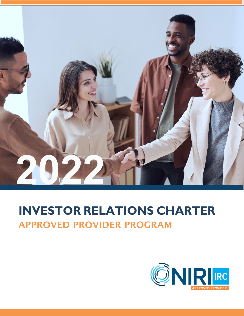

# **INVESTOR RELATIONS CHARTER** APPROVED PROVIDER PROGRAM

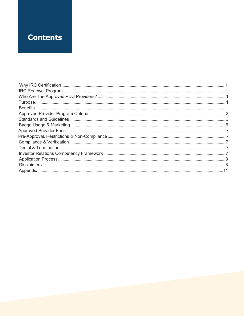### **Contents**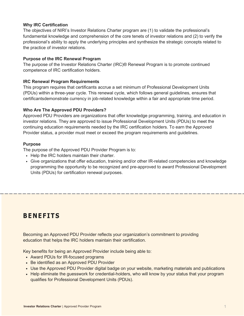### <span id="page-2-0"></span>**Why IRC Certification**

The objectives of NIRI's Investor Relations Charter program are (1) to validate the professional's fundamental knowledge and comprehension of the core tenets of investor relations and (2) to verify the professional's ability to apply the underlying principles and synthesize the strategic concepts related to the practice of investor relations.

### **Purpose of the IRC Renewal Program**

The purpose of the Investor Relations Charter (IRC)® Renewal Program is to promote continued competence of IRC certification holders.

#### <span id="page-2-1"></span>**IRC Renewal Program Requirements**

This program requires that certificants accrue a set minimum of Professional Development Units (PDUs) within a three-year cycle. This renewal cycle, which follows general guidelines, ensures that certificantsdemonstrate currency in job-related knowledge within a fair and appropriate time period.

### <span id="page-2-2"></span>**Who Are The Approved PDU Providers?**

Approved PDU Providers are organizations that offer knowledge programming, training, and education in investor relations. They are approved to issue Professional Development Units (PDUs) to meet the continuing education requirements needed by the IRC certification holders. To earn the Approved Provider status, a provider must meet or exceed the program requirements and guidelines.

### <span id="page-2-3"></span>**Purpose**

The purpose of the Approved PDU Provider Program is to:

- Help the IRC holders maintain their charter.
- Give organizations that offer education, training and/or other IR-related competencies and knowledge programming the opportunity to be recognized and pre-approved to award Professional Development Units (PDUs) for certification renewal purposes.

### **BENEFITS**

Becoming an Approved PDU Provider reflects your organization's commitment to providing education that helps the IRC holders maintain their certification.

Key benefits for being an Approved Provider include being able to:

- Award PDUs for IR-focused programs
- Be identified as an Approved PDU Provider
- Use the Approved PDU Provider digital badge on your website, marketing materials and publications
- Help eliminate the guesswork for credential-holders, who will know by your status that your program qualifies for Professional Development Units (PDUs).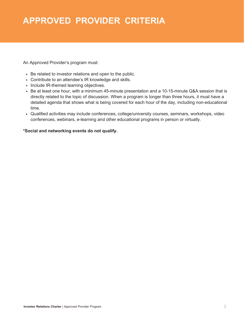### **APPROVED PROVIDER CRITERIA**

An Approved Provider's program must:

- Be related to investor relations and open to the public.
- Contribute to an attendee's IR knowledge and skills.
- Include IR-themed learning objectives.
- Be at least one hour, with a minimum 45-minute presentation and a 10-15-minute Q&A session that is directly related to the topic of discussion. When a program is longer than three hours, it must have a detailed agenda that shows what is being covered for each hour of the day, including non-educational time.
- Qualified activities may include conferences, college/university courses, seminars, workshops, video conferences, webinars, e-learning and other educational programs in person or virtually.

#### **\*Social and networking events do not qualify.**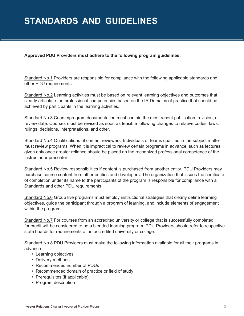### **STANDARDS AND GUIDELINES**

#### **Approved PDU Providers must adhere to the following program guidelines:**

Standard No.1 Providers are responsible for compliance with the following applicable standards and other PDU requirements.

Standard No.2 Learning activities must be based on relevant learning objectives and outcomes that clearly articulate the professional competencies based on the IR Domains of practice that should be achieved by participants in the learning activities.

Standard No.3 Course/program documentation must contain the most recent publication, revision, or review date. Courses must be revised as soon as feasible following changes to relative codes, laws, rulings, decisions, interpretations, and other.

Standard No.4 Qualifications of content reviewers. Individuals or teams qualified in the subject matter must review programs. When it is impractical to review certain programs in advance, such as lectures given only once greater reliance should be placed on the recognized professional competence of the instructor or presenter.

Standard No.5 Review responsibilities if content is purchased from another entity. PDU Providers may purchase course content from other entities and developers. The organization that issues the certificate of completion under its name to the participants of the program is responsible for compliance with all Standards and other PDU requirements.

Standard No.6 Group live programs must employ instructional strategies that clearly define learning objectives, guide the participant through a program of learning, and include elements of engagement within the program.

Standard No.7 For courses from an accredited university or college that is successfully completed for credit will be considered to be a blended learning program. PDU Providers should refer to respective state boards for requirements of an accredited university or college.

Standard No.8 PDU Providers must make the following information available for all their programs in advance:

- Learning objectives
- Delivery methods
- Recommended number of PDUs
- Recommended domain of practice or field of study
- Prerequisites (if applicable)
- Program description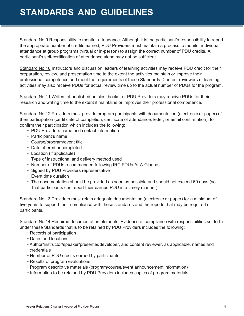### **STANDARDS AND GUIDELINES**

Standard No.9 Responsibility to monitor attendance. Although it is the participant's responsibility to report the appropriate number of credits earned, PDU Providers must maintain a process to monitor individual attendance at group programs (virtual or in-person) to assign the correct number of PDU credits. A participant's self-certification of attendance alone may not be sufficient.

Standard No.10 Instructors and discussion leaders of learning activities may receive PDU credit for their preparation, review, and presentation time to the extent the activities maintain or improve their professional competence and meet the requirements of these Standards. Content reviewers of learning activities may also receive PDUs for actual review time up to the actual number of PDUs for the program.

Standard No.11 Writers of published articles, books, or PDU Providers may receive PDUs for their research and writing time to the extent it maintains or improves their professional competence.

Standard No.12 Providers must provide program participants with documentation (electronic or paper) of their participation (certificate of completion, certificate of attendance, letter, or email confirmation), to confirm their participation which includes the following:

- PDU Providers name and contact information
- Participant's name
- Course/program/event title
- Date offered or completed
- Location (if applicable)
- Type of instructional and delivery method used
- Number of PDUs recommended following IRC PDUs At-A-Glance
- Signed by PDU Providers representative
- Event time duration
- The documentation should be provided as soon as possible and should not exceed 60 days (so that participants can report their earned PDU in a timely manner).

Standard No.13 Providers must retain adequate documentation (electronic or paper) for a minimum of five years to support their compliance with these standards and the reports that may be required of participants.

Standard No.14 Required documentation elements. Evidence of compliance with responsibilities set forth under these Standards that is to be retained by PDU Providers includes the following:

- Records of participation
- Dates and locations
- Author/instructor/speaker/presenter/developer, and content reviewer, as applicable, names and credentials
- Number of PDU credits earned by participants
- Results of program evaluations
- Program descriptive materials (program/course/event announcement information)
- Information to be retained by PDU Providers includes copies of program materials.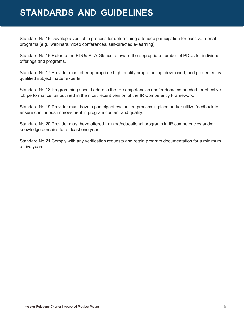### **STANDARDS AND GUIDELINES**

Standard No.15 Develop a verifiable process for determining attendee participation for passive-format programs (e.g., webinars, video conferences, self-directed e-learning).

Standard No.16 Refer to the PDUs-At-A-Glance to award the appropriate number of PDUs for individual offerings and programs.

Standard No.17 Provider must offer appropriate high-quality programming, developed, and presented by qualified subject matter experts.

Standard No.18 Programming should address the IR competencies and/or domains needed for effective job performance, as outlined in the most recent version of the IR Competency Framework.

Standard No.19 Provider must have a participant evaluation process in place and/or utilize feedback to ensure continuous improvement in program content and quality.

Standard No.20 Provider must have offered training/educational programs in IR competencies and/or knowledge domains for at least one year.

Standard No.21 Comply with any verification requests and retain program documentation for a minimum of five years.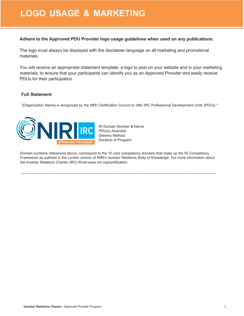### **LOGO USAGE & MARKETING**

### **Adhere to the Approved PDU Provider logo usage guidelines when used on any publications.**

The logo must always be displayed with the disclaimer language on all marketing and promotional materials.

You will receive an appropriate statement template, a logo to post on your website and in your marketing materials, to ensure that your participants can identify you as an Approved Provider and easily receive PDUs for their participation.

### **Full Statement**

"[Organization Name] is recognized by the NIRI Certification Council to offer IRC Professional Development Units (PDUs)."



IR Domain Number & Name: PDU(s) Awarded: Delivery Method: Duration of Program:

Domain numbers referenced above, correspond to the 10 core competency domains that make up the IR Competency Framework as outlined in the current version of NIRI's Investor Relations Body of Knowledge. For more information about the Investor Relations Charter (IRC) ®visit [www.niri.org/certification.](http://www.niri.org/certification)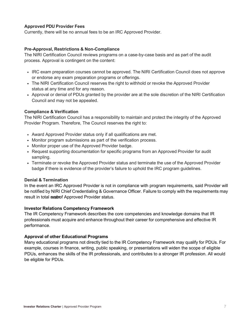### <span id="page-8-0"></span>**Approved PDU Provider Fees**

Currently, there will be no annual fees to be an IRC Approved Provider.

#### <span id="page-8-1"></span>**Pre-Approval, Restrictions & Non-Compliance**

The NIRI Certification Council reviews programs on a case-by-case basis and as part of the audit process. Approval is contingent on the content:

- IRC exam preparation courses cannot be approved. The NIRI Certification Council does not approve or endorse any exam preparation programs or offerings.
- The NIRI Certification Council reserves the right to withhold or revoke the Approved Provider status at any time and for any reason.
- Approval or denial of PDUs granted by the provider are at the sole discretion of the NIRI Certification Council and may not be appealed.

#### <span id="page-8-2"></span>**Compliance & Verification**

The NIRI Certification Council has a responsibility to maintain and protect the integrity of the Approved Provider Program. Therefore, The Council reserves the right to:

- Award Approved Provider status only if all qualifications are met.
- Monitor program submissions as part of the verification process.
- Monitor proper use of the Approved Provider badge.
- Request supporting documentation for specific programs from an Approved Provider for audit sampling.
- Terminate or revoke the Approved Provider status and terminate the use of the Approved Provider badge if there is evidence of the provider's failure to uphold the IRC program guidelines.

#### <span id="page-8-3"></span>**Denial & Termination**

In the event an IRC Approved Provider is not in compliance with program requirements, said Provider will be notified by NIRI Chief Credentialing & Governance Officer. Failure to comply with the requirements may result in total **exation** Approved Provider status.

#### <span id="page-8-4"></span>**Investor Relations Competency Framework**

The IR Competency Framework describes the core competencies and knowledge domains that IR professionals must acquire and enhance throughout their career for comprehensive and effective IR performance.

#### **Approval of other Educational Programs**

Many educational programs not directly tied to the IR Competency Framework may qualify for PDUs. For example, courses in finance, writing, public speaking, or presentations will widen the scope of eligible PDUs, enhances the skills of the IR professionals, and contributes to a stronger IR profession. All would be eligible for PDUs.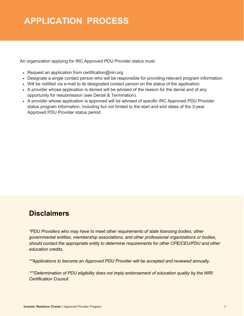## **APPLICATION PROCESS**

An organization applying for IRC Approved PDU Provider status must:

- Exequest an application from certification@niri.org
- Designate a single contact person who will be responsible for providing relevant program information.
- Will be notified via e-mail to its designated contact person on the status of the application.
- A provider whose application is denied will be advised of the reason for the denial and of any opportunity for resubmission (see Denial & Termination).
- A provider whose application is approved will be advised of specific IRC Approved PDU Provider status program information, including but not limited to the start and end dates of the 3-year Approved PDU Provider status period.

### **Disclaimers**

*\*PDU Providers who may have to meet other requirements of state licensing bodies, other governmental entities, membership associations, and other professional organizations or bodies, should contact the appropriate entity to determine requirements for other CPE/CEU/PDU and other education credits.*

*\*\*Applications to become an Approved PDU Provider will be accepted and reviewed annually.*

*\*\*\*Determination of PDU eligibility does not imply endorsement of education quality by the NIRI Certification Council.*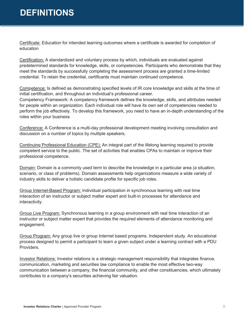## **DEFINITIONS**

Certificate: Education for intended learning outcomes where a certificate is awarded for completion of education

Certification: A standardized and voluntary process by which, individuals are evaluated against predetermined standards for knowledge, skills, or competencies. Participants who demonstrate that they meet the standards by successfully completing the assessment process are granted a time-limited credential. To retain the credential, certificants must maintain continued competence.

Competence: Is defined as demonstrating specified levels of IR core knowledge and skills at the time of initial certification, and throughout an individual's professional career.

Competency Framework: A competency framework defines the knowledge, skills, and attributes needed for people within an organization. Each individual role will have its own set of competencies needed to perform the job effectively. To develop this framework, you need to have an in-depth understanding of the roles within your business

Conference: A Conference is a multi-day professional development meeting involving consultation and discussion on a number of topics by multiple speakers.

Continuing Professional Education (CPE): An integral part of the lifelong learning required to provide competent service to the public. The set of activities that enables CPAs to maintain or improve their professional competence.

Domain: Domain is a commonly used term to describe the knowledge in a particular area (a situation, scenario, or class of problems). Domain assessments help organizations measure a wide variety of industry skills to deliver a holistic candidate profile for specific job roles.

Group Internet-Based Program: Individual participation in synchronous learning with real time interaction of an instructor or subject matter expert and built-in processes for attendance and interactivity.

Group Live Program: Synchronous learning in a group environment with real time interaction of an instructor or subject matter expert that provides the required elements of attendance monitoring and engagement.

Group Program: Any group live or group Internet based programs. Independent study. An educational process designed to permit a participant to learn a given subject under a learning contract with a PDU Providers.

Investor Relations: Investor relations is a strategic management responsibility that integrates finance, communication, marketing and securities law compliance to enable the most effective two-way communication between a company, the financial community, and other constituencies, which ultimately contributes to a company's securities achieving fair valuation.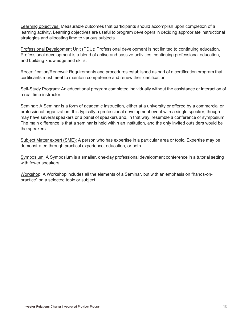Learning objectives: Measurable outcomes that participants should accomplish upon completion of a learning activity. Learning objectives are useful to program developers in deciding appropriate instructional strategies and allocating time to various subjects.

Professional Development Unit (PDU): Professional development is not limited to continuing education. Professional development is a blend of active and passive activities, continuing professional education, and building knowledge and skills.

Recertification/Renewal: Requirements and procedures established as part of a certification program that certificants must meet to maintain competence and renew their certification.

Self-Study Program: An educational program completed individually without the assistance or interaction of a real time instructor.

Seminar: A Seminar is a form of academic instruction, either at a university or offered by a commercial or professional organization. It is typically a professional development event with a single speaker, though may have several speakers or a panel of speakers and, in that way, resemble a conference or symposium. The main difference is that a seminar is held within an institution, and the only invited outsiders would be the speakers.

Subject Matter expert (SME): A person who has expertise in a particular area or topic. Expertise may be demonstrated through practical experience, education, or both.

Symposium: A Symposium is a smaller, one-day professional development conference in a tutorial setting with fewer speakers.

Workshop: A Workshop includes all the elements of a Seminar, but with an emphasis on "hands-onpractice" on a selected topic or subject.